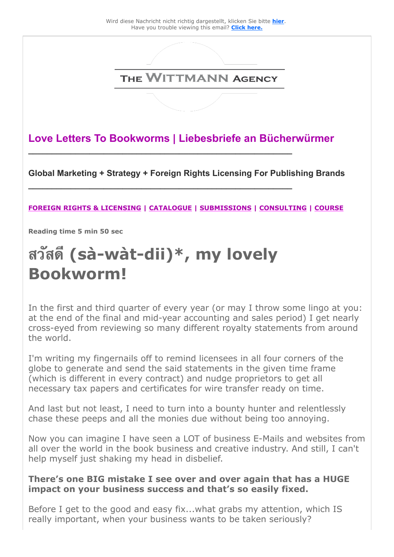

**Love Letters To Bookworms | Liebesbriefe an Bücherwürmer**

**\_\_\_\_\_\_\_\_\_\_\_\_\_\_\_\_\_\_\_\_\_\_\_\_\_\_\_\_\_\_\_\_\_\_\_\_\_\_\_\_\_\_\_\_\_\_\_\_\_\_\_\_\_\_\_\_**

**\_\_\_\_\_\_\_\_\_\_\_\_\_\_\_\_\_\_\_\_\_\_\_\_\_\_\_\_\_\_\_\_\_\_\_\_\_\_\_\_\_\_\_\_\_\_\_\_\_\_\_\_\_\_\_\_** 

**Global Marketing + Strategy + Foreign Rights Licensing For Publishing Brands** 

#### **[FOREIGN RIGHTS & LICENSING](https://25446.seu.cleverreach.com/c/46973041/9d7d5dee238-raw0b0) | [CATALOGUE](https://25446.seu.cleverreach.com/c/46973042/9d7d5dee238-raw0b0) | [SUBMISSIONS](https://25446.seu.cleverreach.com/c/46973043/9d7d5dee238-raw0b0) | [CONSULTING](https://25446.seu.cleverreach.com/c/46973044/9d7d5dee238-raw0b0) | [COURSE](https://25446.seu.cleverreach.com/c/46973045/9d7d5dee238-raw0b0)**

**Reading time 5 min 50 sec** 

# **สวสด (sà-wàt-dii)\*, my lovely Bookworm!**

In the first and third quarter of every year (or may I throw some lingo at you: at the end of the final and mid-year accounting and sales period) I get nearly cross-eyed from reviewing so many different royalty statements from around the world.

I'm writing my fingernails off to remind licensees in all four corners of the globe to generate and send the said statements in the given time frame (which is different in every contract) and nudge proprietors to get all necessary tax papers and certificates for wire transfer ready on time.

And last but not least, I need to turn into a bounty hunter and relentlessly chase these peeps and all the monies due without being too annoying.

Now you can imagine I have seen a LOT of business E-Mails and websites from all over the world in the book business and creative industry. And still, I can't help myself just shaking my head in disbelief.

#### **There's one BIG mistake I see over and over again that has a HUGE impact on your business success and that's so easily fixed.**

Before I get to the good and easy fix...what grabs my attention, which IS really important, when your business wants to be taken seriously?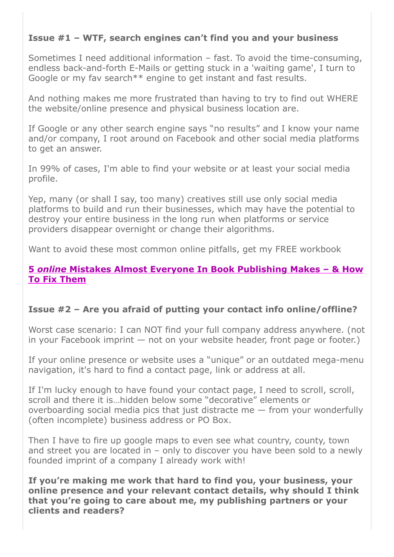# **Issue #1 – WTF, search engines can't find you and your business**

Sometimes I need additional information – fast. To avoid the time-consuming, endless back-and-forth E-Mails or getting stuck in a 'waiting game', I turn to Google or my fav search\*\* engine to get instant and fast results.

And nothing makes me more frustrated than having to try to find out WHERE the website/online presence and physical business location are.

If Google or any other search engine says "no results" and I know your name and/or company, I root around on Facebook and other social media platforms to get an answer.

In 99% of cases, I'm able to find your website or at least your social media profile.

Yep, many (or shall I say, too many) creatives still use only social media platforms to build and run their businesses, which may have the potential to destroy your entire business in the long run when platforms or service providers disappear overnight or change their algorithms.

Want to avoid these most common online pitfalls, get my FREE workbook

#### **5** *online* **[Mistakes Almost Everyone In Book Publishing Makes – & How](https://25446.seu.cleverreach.com/c/46973046/9d7d5dee238-raw0b0) To Fix Them**

# **Issue #2 – Are you afraid of putting your contact info online/offline?**

Worst case scenario: I can NOT find your full company address anywhere. (not in your Facebook imprint — not on your website header, front page or footer.)

If your online presence or website uses a "unique" or an outdated mega-menu navigation, it's hard to find a contact page, link or address at all.

If I'm lucky enough to have found your contact page, I need to scroll, scroll, scroll and there it is…hidden below some "decorative" elements or overboarding social media pics that just distracte me — from your wonderfully (often incomplete) business address or PO Box.

Then I have to fire up google maps to even see what country, county, town and street you are located in – only to discover you have been sold to a newly founded imprint of a company I already work with!

**If you're making me work that hard to find you, your business, your online presence and your relevant contact details, why should I think that you're going to care about me, my publishing partners or your clients and readers?**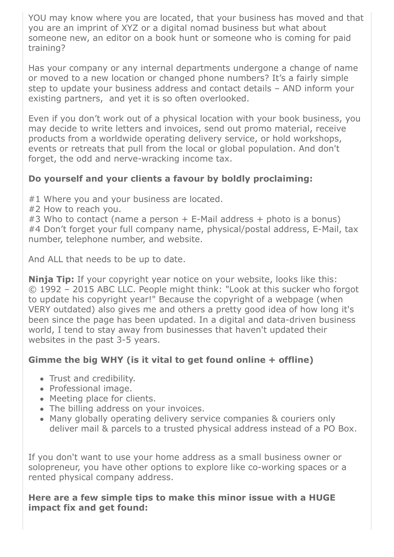YOU may know where you are located, that your business has moved and that you are an imprint of XYZ or a digital nomad business but what about someone new, an editor on a book hunt or someone who is coming for paid training?

Has your company or any internal departments undergone a change of name or moved to a new location or changed phone numbers? It's a fairly simple step to update your business address and contact details – AND inform your existing partners, and yet it is so often overlooked.

Even if you don't work out of a physical location with your book business, you may decide to write letters and invoices, send out promo material, receive products from a worldwide operating delivery service, or hold workshops, events or retreats that pull from the local or global population. And don't forget, the odd and nerve-wracking income tax.

### **Do yourself and your clients a favour by boldly proclaiming:**

#1 Where you and your business are located.

#2 How to reach you.

#3 Who to contact (name a person + E-Mail address + photo is a bonus) #4 Don't forget your full company name, physical/postal address, E-Mail, tax number, telephone number, and website.

And ALL that needs to be up to date.

**Ninja Tip:** If your copyright year notice on your website, looks like this: © 1992 – 2015 ABC LLC. People might think: "Look at this sucker who forgot to update his copyright year!" Because the copyright of a webpage (when VERY outdated) also gives me and others a pretty good idea of how long it's been since the page has been updated. In a digital and data-driven business world, I tend to stay away from businesses that haven't updated their websites in the past 3-5 years.

# **Gimme the big WHY (is it vital to get found online + offline)**

- Trust and credibility.
- Professional image.
- Meeting place for clients.
- The billing address on your invoices.
- Many globally operating delivery service companies & couriers only deliver mail & parcels to a trusted physical address instead of a PO Box.

If you don't want to use your home address as a small business owner or solopreneur, you have other options to explore like co-working spaces or a rented physical company address.

**Here are a few simple tips to make this minor issue with a HUGE impact fix and get found:**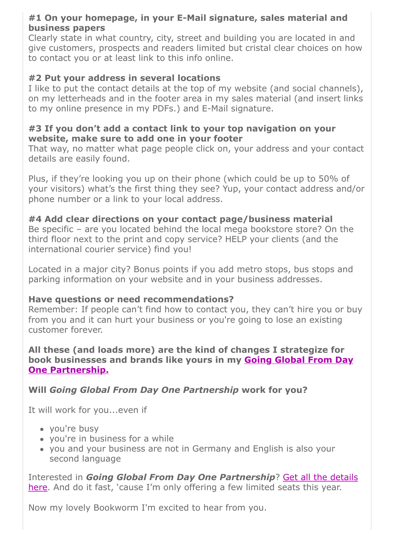### **#1 On your homepage, in your E-Mail signature, sales material and business papers**

Clearly state in what country, city, street and building you are located in and give customers, prospects and readers limited but cristal clear choices on how to contact you or at least link to this info online.

### **#2 Put your address in several locations**

I like to put the contact details at the top of my website (and social channels), on my letterheads and in the footer area in my sales material (and insert links to my online presence in my PDFs.) and E-Mail signature.

#### **#3 If you don't add a contact link to your top navigation on your website, make sure to add one in your footer**

That way, no matter what page people click on, your address and your contact details are easily found.

Plus, if they're looking you up on their phone (which could be up to 50% of your visitors) what's the first thing they see? Yup, your contact address and/or phone number or a link to your local address.

**#4 Add clear directions on your contact page/business material** Be specific – are you located behind the local mega bookstore store? On the third floor next to the print and copy service? HELP your clients (and the international courier service) find you!

Located in a major city? Bonus points if you add metro stops, bus stops and parking information on your website and in your business addresses.

#### **Have questions or need recommendations?**

Remember: If people can't find how to contact you, they can't hire you or buy from you and it can hurt your business or you're going to lose an existing customer forever.

#### **All these (and loads more) are the kind of changes I strategize for [book businesses and brands like yours in my Going Global From Day](https://25446.seu.cleverreach.com/c/46973044/9d7d5dee238-raw0b0) One Partnership.**

**Will** *Going Global From Day One Partnership* **work for you?** 

It will work for you...even if

- you're busy
- you're in business for a while
- you and your business are not in Germany and English is also your second language

Interested in *Going Global From Day One Partnership*? Get all the details [here. And do it fast, 'cause I'm only offering a few limited seats this year.](https://25446.seu.cleverreach.com/c/46973044/9d7d5dee238-raw0b0)

Now my lovely Bookworm I'm excited to hear from you.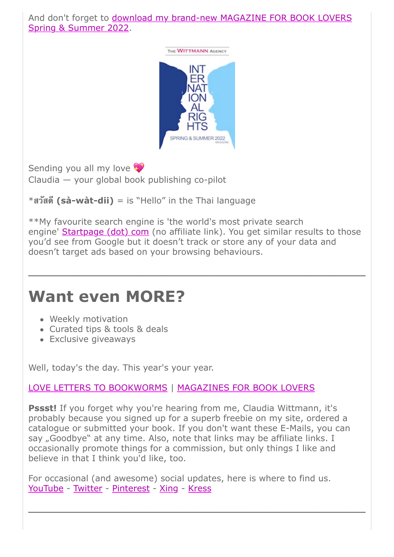And don't forget to **download my brand-new MAGAZINE FOR BOOK LOVERS** Spring & Summer 2022.



Sending you all my love

Claudia — your global book publishing co-pilot

\***สวสด (sà-wàt-dii)** = is "Hello" in the Thai language

\*\*My favourite search engine is 'the world's most private search engine' [Startpage \(dot\) com](https://25446.seu.cleverreach.com/c/46973047/9d7d5dee238-raw0b0) (no affiliate link). You get similar results to those you'd see from Google but it doesn't track or store any of your data and doesn't target ads based on your browsing behaviours.

**\_\_\_\_\_\_\_\_\_\_\_\_\_\_\_\_\_\_\_\_\_\_\_\_\_\_\_\_\_\_\_\_\_\_\_\_\_\_\_\_\_\_\_\_\_\_\_\_\_\_\_\_\_\_\_\_**

# **Want even MORE?**

- Weekly motivation
- Curated tips & tools & deals
- Exclusive giveaways

Well, today's the day. This year's your year.

# [LOVE LETTERS TO BOOKWORMS](https://25446.seu.cleverreach.com/c/46973048/9d7d5dee238-raw0b0) | [MAGAZINES FOR BOOK LOVERS](https://25446.seu.cleverreach.com/c/46973049/9d7d5dee238-raw0b0)

**Pssst!** If you forget why you're hearing from me, Claudia Wittmann, it's probably because you signed up for a superb freebie on my site, ordered a catalogue or submitted your book. If you don't want these E-Mails, you can say "Goodbye" at any time. Also, note that links may be affiliate links. I occasionally promote things for a commission, but only things I like and believe in that I think you'd like, too.

For occasional (and awesome) social updates, here is where to find us. [YouTube](https://25446.seu.cleverreach.com/c/46973050/9d7d5dee238-raw0b0) - [Twitter](https://25446.seu.cleverreach.com/c/46973051/9d7d5dee238-raw0b0) - [Pinterest](https://25446.seu.cleverreach.com/c/46973052/9d7d5dee238-raw0b0) - [Xing](https://25446.seu.cleverreach.com/c/46973053/9d7d5dee238-raw0b0) - [Kress](https://25446.seu.cleverreach.com/c/46973054/9d7d5dee238-raw0b0)

**\_\_\_\_\_\_\_\_\_\_\_\_\_\_\_\_\_\_\_\_\_\_\_\_\_\_\_\_\_\_\_\_\_\_\_\_\_\_\_\_\_\_\_\_\_\_\_\_\_\_\_\_\_\_\_\_**